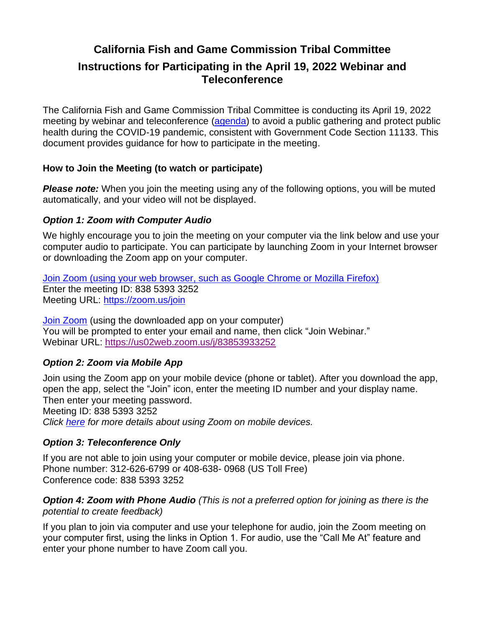# **California Fish and Game Commission Tribal Committee**

# **Instructions for Participating in the April 19, 2022 Webinar and Teleconference**

The California Fish and Game Commission Tribal Committee is conducting its April 19, 2022 meeting by webinar and teleconference [\(agenda\)](https://nrm.dfg.ca.gov/FileHandler.ashx?DocumentID=199044&inline) to avoid a public gathering and protect public health during the COVID-19 pandemic, consistent with Government Code Section 11133. This document provides guidance for how to participate in the meeting.

# **How to Join the Meeting (to watch or participate)**

**Please note:** When you join the meeting using any of the following options, you will be muted automatically, and your video will not be displayed.

#### *Option 1: Zoom with Computer Audio*

We highly encourage you to join the meeting on your computer via the link below and use your computer audio to participate. You can participate by launching Zoom in your Internet browser or downloading the Zoom app on your computer.

[Join Zoom \(using your web browser, such as Google Chrome or Mozilla Firefox\)](https://zoom.us/join) Enter the meeting ID: 838 5393 3252 Meeting URL:<https://zoom.us/join>

[Join Zoom](https://us02web.zoom.us/j/83853933252) (using the downloaded app on your computer) You will be prompted to enter your email and name, then click "Join Webinar." Webinar URL:<https://us02web.zoom.us/j/83853933252>

# *Option 2: Zoom via Mobile App*

Join using the Zoom app on your mobile device (phone or tablet). After you download the app, open the app, select the "Join" icon, enter the meeting ID number and your display name. Then enter your meeting password. Meeting ID: 838 5393 3252 *Click [here](https://support.zoom.us/hc/en-us/articles/201362193-Joining-a-Zoom-meeting#h_01FNW1FZWAD55P6E6G283JYS1B) for more details about using Zoom on mobile devices.*

# *Option 3: Teleconference Only*

If you are not able to join using your computer or mobile device, please join via phone. Phone number: 312-626-6799 or 408-638- 0968 (US Toll Free) Conference code: 838 5393 3252

#### *Option 4: Zoom with Phone Audio (This is not a preferred option for joining as there is the potential to create feedback)*

If you plan to join via computer and use your telephone for audio, join the Zoom meeting on your computer first, using the links in Option 1. For audio, use the "Call Me At" feature and enter your phone number to have Zoom call you.